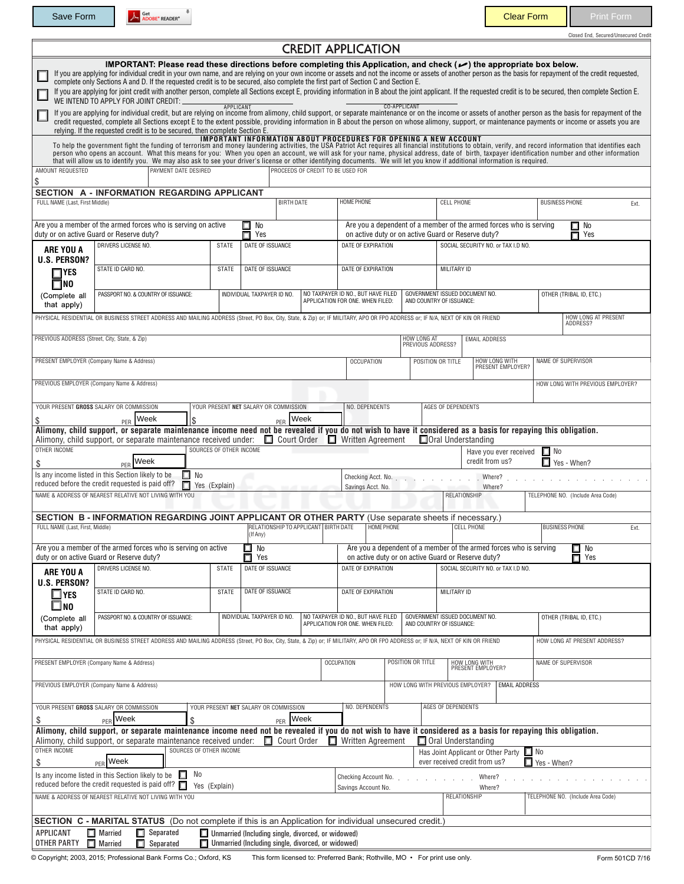Save Form A Societ READER" READER TO PRINT THE SAVE READER TO THE SAVE READER TO THE PRINT PRINT PRINT PRINT PRINT

Closed End, Secured/Unsecured Credit

|                                                                                                                                          |                                                                                                                                                                                                                                                                                                                                                                                                                                                                                                                                                                                                                                                                                                                                                   |                                                                                    |                                                                                                                 |                                                    | <b>CREDIT APPLICATION</b>                                              |                                                                        |                                                    |                                                            |                                                                    |                                        |                         |  |
|------------------------------------------------------------------------------------------------------------------------------------------|---------------------------------------------------------------------------------------------------------------------------------------------------------------------------------------------------------------------------------------------------------------------------------------------------------------------------------------------------------------------------------------------------------------------------------------------------------------------------------------------------------------------------------------------------------------------------------------------------------------------------------------------------------------------------------------------------------------------------------------------------|------------------------------------------------------------------------------------|-----------------------------------------------------------------------------------------------------------------|----------------------------------------------------|------------------------------------------------------------------------|------------------------------------------------------------------------|----------------------------------------------------|------------------------------------------------------------|--------------------------------------------------------------------|----------------------------------------|-------------------------|--|
|                                                                                                                                          | IMPORTANT: Please read these directions before completing this Application, and check ( $\bullet$ ) the appropriate box below.<br>If you are applying for individual credit in your own name, and are relying on your own income or assets and not the income or assets of another person as the basis for repayment of the credit requested,<br>complete only Sections A and D. If the requested credit is to be secured, also complete the first part of Section C and Section E.<br>If you are applying for joint credit with another person, complete all Sections except E, providing information in B about the joint applicant. If the requested credit is to be secured, then complete Section E.<br>WE INTEND TO APPLY FOR JOINT CREDIT: |                                                                                    |                                                                                                                 |                                                    |                                                                        |                                                                        |                                                    |                                                            |                                                                    |                                        |                         |  |
|                                                                                                                                          | If you are applying for individual credit, but are relying on income from alimony, child support, or separate maintenance or on the income or assets of another person as the basis for repayment of the<br>credit requested, complete all Sections except E to the extent possible, providing information in B about the person on whose alimony, support, or maintenance payments or income or assets you are<br>relying. If the requested credit is to be secured, then complete Section E.                                                                                                                                                                                                                                                    | <b>APPLICANT</b>                                                                   |                                                                                                                 |                                                    |                                                                        |                                                                        | <b>CO-APPLICANT</b>                                |                                                            |                                                                    |                                        |                         |  |
|                                                                                                                                          | To help the government fight the funding of terrorism and money laundering activities, the USA Patriot Act requires all financial institutions to obtain, verify, and record information that identifies each<br>person who opens an account. What this means for you: When you open an account, we will ask for your name, physical address, date of birth, taxpayer identification number and other information<br>that will allow us to identify you. We may also ask to see your driver's license or other identifying documents. We will let you know if additional information is required.                                                                                                                                                 |                                                                                    | IMPORTANT INFORMATION ABOUT PROCEDURES FOR OPENING A NEW ACCOUNT                                                |                                                    |                                                                        |                                                                        |                                                    |                                                            |                                                                    |                                        |                         |  |
| AMOUNT REQUESTED<br>\$                                                                                                                   | <b>PAYMENT DATE DESIRED</b>                                                                                                                                                                                                                                                                                                                                                                                                                                                                                                                                                                                                                                                                                                                       |                                                                                    |                                                                                                                 |                                                    | PROCEEDS OF CREDIT TO BE USED FOR                                      |                                                                        |                                                    |                                                            |                                                                    |                                        |                         |  |
|                                                                                                                                          | SECTION A - INFORMATION REGARDING APPLICANT                                                                                                                                                                                                                                                                                                                                                                                                                                                                                                                                                                                                                                                                                                       |                                                                                    |                                                                                                                 |                                                    |                                                                        |                                                                        |                                                    |                                                            |                                                                    |                                        |                         |  |
| FULL NAME (Last, First Middle)                                                                                                           |                                                                                                                                                                                                                                                                                                                                                                                                                                                                                                                                                                                                                                                                                                                                                   |                                                                                    | <b>BIRTH DATE</b>                                                                                               |                                                    | <b>HOME PHONE</b>                                                      |                                                                        |                                                    | <b>CELL PHONE</b>                                          |                                                                    | <b>BUSINESS PHONE</b>                  | Ext.                    |  |
|                                                                                                                                          | Are you a member of the armed forces who is serving on active<br>duty or on active Guard or Reserve duty?                                                                                                                                                                                                                                                                                                                                                                                                                                                                                                                                                                                                                                         |                                                                                    | $\square$ No<br>П<br>Yes                                                                                        |                                                    |                                                                        |                                                                        | on active duty or on active Guard or Reserve duty? |                                                            | Are you a dependent of a member of the armed forces who is serving | $\Box$ No<br>П<br>Yes                  |                         |  |
| ARE YOU A<br>U.S. PERSON?                                                                                                                | DRIVERS LICENSE NO.                                                                                                                                                                                                                                                                                                                                                                                                                                                                                                                                                                                                                                                                                                                               | <b>STATE</b>                                                                       | DATE OF ISSUANCE                                                                                                |                                                    |                                                                        | DATE OF EXPIRATION                                                     |                                                    |                                                            | SOCIAL SECURITY NO. or TAX I.D NO.                                 |                                        |                         |  |
| $\sqcap$ YES<br>$\square$ NO                                                                                                             | STATE ID CARD NO.                                                                                                                                                                                                                                                                                                                                                                                                                                                                                                                                                                                                                                                                                                                                 | <b>STATE</b>                                                                       | DATE OF ISSUANCE                                                                                                |                                                    |                                                                        | DATE OF EXPIRATION                                                     |                                                    |                                                            | MILITARY ID                                                        |                                        |                         |  |
| (Complete all<br>that apply)                                                                                                             | PASSPORT NO. & COUNTRY OF ISSUANCE:                                                                                                                                                                                                                                                                                                                                                                                                                                                                                                                                                                                                                                                                                                               |                                                                                    | INDIVIDUAL TAXPAYER ID NO.                                                                                      |                                                    |                                                                        | NO TAXPAYER ID NO., BUT HAVE FILED<br>APPLICATION FOR ONE. WHEN FILED: |                                                    | GOVERNMENT ISSUED DOCUMENT NO.<br>AND COUNTRY OF ISSUANCE: |                                                                    |                                        | OTHER (TRIBAL ID, ETC.) |  |
|                                                                                                                                          | PHYSICAL RESIDENTIAL OR BUSINESS STREET ADDRESS AND MAILING ADDRESS (Street, PO Box, City, State, & Zip) or; IF MILITARY, APO OR FPO ADDRESS or; IF N/A, NEXT OF KIN OR FRIEND                                                                                                                                                                                                                                                                                                                                                                                                                                                                                                                                                                    |                                                                                    |                                                                                                                 |                                                    |                                                                        |                                                                        |                                                    |                                                            |                                                                    | <b>HOW LONG AT PRESENT</b><br>ADDRESS? |                         |  |
| PREVIOUS ADDRESS (Street, City, State, & Zip)                                                                                            |                                                                                                                                                                                                                                                                                                                                                                                                                                                                                                                                                                                                                                                                                                                                                   |                                                                                    |                                                                                                                 |                                                    |                                                                        |                                                                        | HOW LONG AT<br>PREVIOUS ADDRESS?                   |                                                            | <b>EMAIL ADDRESS</b>                                               |                                        |                         |  |
|                                                                                                                                          | PRESENT EMPLOYER (Company Name & Address)                                                                                                                                                                                                                                                                                                                                                                                                                                                                                                                                                                                                                                                                                                         |                                                                                    |                                                                                                                 |                                                    |                                                                        | <b>OCCUPATION</b>                                                      |                                                    | POSITION OR TITLE                                          | <b>HOW LONG WITH</b><br>PRESENT EMPLOYER?                          | NAME OF SUPERVISOR                     |                         |  |
|                                                                                                                                          | PREVIOUS EMPLOYER (Company Name & Address)                                                                                                                                                                                                                                                                                                                                                                                                                                                                                                                                                                                                                                                                                                        |                                                                                    |                                                                                                                 |                                                    |                                                                        |                                                                        |                                                    |                                                            |                                                                    | HOW LONG WITH PREVIOUS EMPLOYER?       |                         |  |
|                                                                                                                                          | YOUR PRESENT GROSS SALARY OR COMMISSION                                                                                                                                                                                                                                                                                                                                                                                                                                                                                                                                                                                                                                                                                                           |                                                                                    | YOUR PRESENT NET SALARY OR COMMISSION                                                                           |                                                    |                                                                        | NO. DEPENDENTS                                                         |                                                    | AGES OF DEPENDENTS                                         |                                                                    |                                        |                         |  |
| \$                                                                                                                                       | Week<br>\$<br>PER<br>Alimony, child support, or separate maintenance income need not be revealed if you do not wish to have it considered as a basis for repaying this obligation.                                                                                                                                                                                                                                                                                                                                                                                                                                                                                                                                                                |                                                                                    | PER                                                                                                             | Week                                               |                                                                        |                                                                        |                                                    |                                                            |                                                                    |                                        |                         |  |
| OTHER INCOME                                                                                                                             | Alimony, child support, or separate maintenance received under:                                                                                                                                                                                                                                                                                                                                                                                                                                                                                                                                                                                                                                                                                   | SOURCES OF OTHER INCOME                                                            | Court Order                                                                                                     |                                                    | $\Box$ Written Agreement                                               |                                                                        |                                                    | Oral Understanding                                         |                                                                    |                                        |                         |  |
| \$                                                                                                                                       | Week<br>PFR                                                                                                                                                                                                                                                                                                                                                                                                                                                                                                                                                                                                                                                                                                                                       |                                                                                    |                                                                                                                 |                                                    |                                                                        |                                                                        |                                                    |                                                            | Have you ever received<br>credit from us?                          | $\Box$ No<br>Yes - When?               |                         |  |
| Is any income listed in this Section likely to be<br>П<br>No<br>reduced before the credit requested is paid off?<br>п<br>Yes (Explain)   |                                                                                                                                                                                                                                                                                                                                                                                                                                                                                                                                                                                                                                                                                                                                                   |                                                                                    |                                                                                                                 |                                                    |                                                                        | Checking Acct. No.<br>Where?<br>Savings Acct. No.<br>Where?            |                                                    |                                                            |                                                                    |                                        |                         |  |
|                                                                                                                                          | NAME & ADDRESS OF NEAREST RELATIVE NOT LIVING WITH YOU                                                                                                                                                                                                                                                                                                                                                                                                                                                                                                                                                                                                                                                                                            |                                                                                    |                                                                                                                 |                                                    |                                                                        |                                                                        |                                                    | RELATIONSHIP                                               |                                                                    | TELEPHONE NO. (Include Area Code)      |                         |  |
| FULL NAME (Last, First, Middle)                                                                                                          | SECTION B - INFORMATION REGARDING JOINT APPLICANT OR OTHER PARTY (Use separate sheets if necessary.)                                                                                                                                                                                                                                                                                                                                                                                                                                                                                                                                                                                                                                              |                                                                                    | RELATIONSHIP TO APPLICANT BIRTH DATE                                                                            |                                                    |                                                                        | <b>HOME PHONE</b>                                                      |                                                    |                                                            | <b>CELL PHONE</b>                                                  | <b>BUSINESS PHONE</b>                  | Ext.                    |  |
|                                                                                                                                          | Are you a member of the armed forces who is serving on active                                                                                                                                                                                                                                                                                                                                                                                                                                                                                                                                                                                                                                                                                     |                                                                                    | (If Any)<br>No                                                                                                  |                                                    |                                                                        |                                                                        |                                                    |                                                            | Are you a dependent of a member of the armed forces who is serving | $\Box$ No                              |                         |  |
|                                                                                                                                          | □<br>Π<br>duty or on active Guard or Reserve duty?<br>Yes                                                                                                                                                                                                                                                                                                                                                                                                                                                                                                                                                                                                                                                                                         |                                                                                    |                                                                                                                 | on active duty or on active Guard or Reserve duty? |                                                                        |                                                                        |                                                    | $\blacksquare$ Yes                                         |                                                                    |                                        |                         |  |
| ARE YOU A<br>U.S. PERSON?                                                                                                                | DRIVERS LICENSE NO.                                                                                                                                                                                                                                                                                                                                                                                                                                                                                                                                                                                                                                                                                                                               | <b>STATE</b>                                                                       | DATE OF ISSUANCE                                                                                                |                                                    | DATE OF EXPIRATION                                                     |                                                                        |                                                    | SOCIAL SECURITY NO. or TAX I.D NO.                         |                                                                    |                                        |                         |  |
| $\square$ YES<br>$\square$ no                                                                                                            | STATE ID CARD NO.                                                                                                                                                                                                                                                                                                                                                                                                                                                                                                                                                                                                                                                                                                                                 | STATE                                                                              | DATE OF ISSUANCE                                                                                                |                                                    |                                                                        | DATE OF EXPIRATION                                                     |                                                    | MILITARY ID                                                |                                                                    |                                        |                         |  |
| (Complete all<br>that apply)                                                                                                             | PASSPORT NO. & COUNTRY OF ISSUANCE:                                                                                                                                                                                                                                                                                                                                                                                                                                                                                                                                                                                                                                                                                                               |                                                                                    | INDIVIDUAL TAXPAYER ID NO.                                                                                      |                                                    | NO TAXPAYER ID NO., BUT HAVE FILED<br>APPLICATION FOR ONE. WHEN FILED: |                                                                        |                                                    | GOVERNMENT ISSUED DOCUMENT NO.<br>AND COUNTRY OF ISSUANCE: |                                                                    | OTHER (TRIBAL ID, ETC.)                |                         |  |
|                                                                                                                                          | PHYSICAL RESIDENTIAL OR BUSINESS STREET ADDRESS AND MAILING ADDRESS (Street, PO Box, City, State, & Zip) or; IF MILITARY, APO OR FPO ADDRESS or; IF N/A, NEXT OF KIN OR FRIEND                                                                                                                                                                                                                                                                                                                                                                                                                                                                                                                                                                    |                                                                                    |                                                                                                                 |                                                    |                                                                        |                                                                        |                                                    |                                                            |                                                                    | HOW LONG AT PRESENT ADDRESS?           |                         |  |
| PRESENT EMPLOYER (Company Name & Address)                                                                                                |                                                                                                                                                                                                                                                                                                                                                                                                                                                                                                                                                                                                                                                                                                                                                   |                                                                                    |                                                                                                                 |                                                    |                                                                        | <b>OCCUPATION</b><br>POSITION OR TITLE                                 |                                                    |                                                            | HOW LONG WITH<br>PRESENT EMPLOYER?                                 | NAME OF SUPERVISOR                     |                         |  |
|                                                                                                                                          | PREVIOUS EMPLOYER (Company Name & Address)                                                                                                                                                                                                                                                                                                                                                                                                                                                                                                                                                                                                                                                                                                        |                                                                                    |                                                                                                                 |                                                    |                                                                        |                                                                        | HOW LONG WITH PREVIOUS EMPLOYER?                   |                                                            | <b>EMAIL ADDRESS</b>                                               |                                        |                         |  |
|                                                                                                                                          | YOUR PRESENT GROSS SALARY OR COMMISSION                                                                                                                                                                                                                                                                                                                                                                                                                                                                                                                                                                                                                                                                                                           |                                                                                    | YOUR PRESENT NET SALARY OR COMMISSION                                                                           |                                                    |                                                                        | NO. DEPENDENTS                                                         |                                                    | AGES OF DEPENDENTS                                         |                                                                    |                                        |                         |  |
| \$                                                                                                                                       | PER Week<br>\$<br>Alimony, child support, or separate maintenance income need not be revealed if you do not wish to have it considered as a basis for repaying this obligation.                                                                                                                                                                                                                                                                                                                                                                                                                                                                                                                                                                   |                                                                                    | PER Week                                                                                                        |                                                    |                                                                        |                                                                        |                                                    |                                                            |                                                                    |                                        |                         |  |
| OTHER INCOME                                                                                                                             | Alimony, child support, or separate maintenance received under:<br>SOURCES OF OTHER INCOME<br>$PER$ Week                                                                                                                                                                                                                                                                                                                                                                                                                                                                                                                                                                                                                                          |                                                                                    | $\Box$ Court Order                                                                                              |                                                    | $\Box$ Written Agreement                                               |                                                                        |                                                    | $\Box$ Oral Understanding                                  |                                                                    | $\Box$ No                              |                         |  |
| \$                                                                                                                                       |                                                                                                                                                                                                                                                                                                                                                                                                                                                                                                                                                                                                                                                                                                                                                   | Has Joint Applicant or Other Party<br>ever received credit from us?<br>Yes - When? |                                                                                                                 |                                                    |                                                                        |                                                                        |                                                    |                                                            |                                                                    |                                        |                         |  |
| No<br>Is any income listed in this Section likely to be<br>П<br>reduced before the credit requested is paid off? $\Box$<br>Yes (Explain) |                                                                                                                                                                                                                                                                                                                                                                                                                                                                                                                                                                                                                                                                                                                                                   |                                                                                    |                                                                                                                 |                                                    |                                                                        | Checking Account No.<br>Where?<br>Savings Account No.<br>Where?        |                                                    |                                                            | TELEPHONE NO. (Include Area Code)                                  |                                        |                         |  |
|                                                                                                                                          | NAME & ADDRESS OF NEAREST RELATIVE NOT LIVING WITH YOU                                                                                                                                                                                                                                                                                                                                                                                                                                                                                                                                                                                                                                                                                            |                                                                                    |                                                                                                                 |                                                    |                                                                        |                                                                        |                                                    | RELATIONSHIP                                               |                                                                    |                                        |                         |  |
|                                                                                                                                          | <b>SECTION C - MARITAL STATUS</b> (Do not complete if this is an Application for individual unsecured credit.)                                                                                                                                                                                                                                                                                                                                                                                                                                                                                                                                                                                                                                    |                                                                                    |                                                                                                                 |                                                    |                                                                        |                                                                        |                                                    |                                                            |                                                                    |                                        |                         |  |
| APPLICANT<br>OTHER PARTY                                                                                                                 | $\Box$ Married<br>$\Box$ Separated<br>$\Box$ Married<br>$\Box$ Separated                                                                                                                                                                                                                                                                                                                                                                                                                                                                                                                                                                                                                                                                          |                                                                                    | $\Box$ Unmarried (Including single, divorced, or widowed)<br>Unmarried (Including single, divorced, or widowed) |                                                    |                                                                        |                                                                        |                                                    |                                                            |                                                                    |                                        |                         |  |

© Copyright; 2003, 2015; Professional Bank Forms Co.; Oxford, KS This form licensed to: Preferred Bank; Rothville, MO • For print use only. Form 501CD 7/16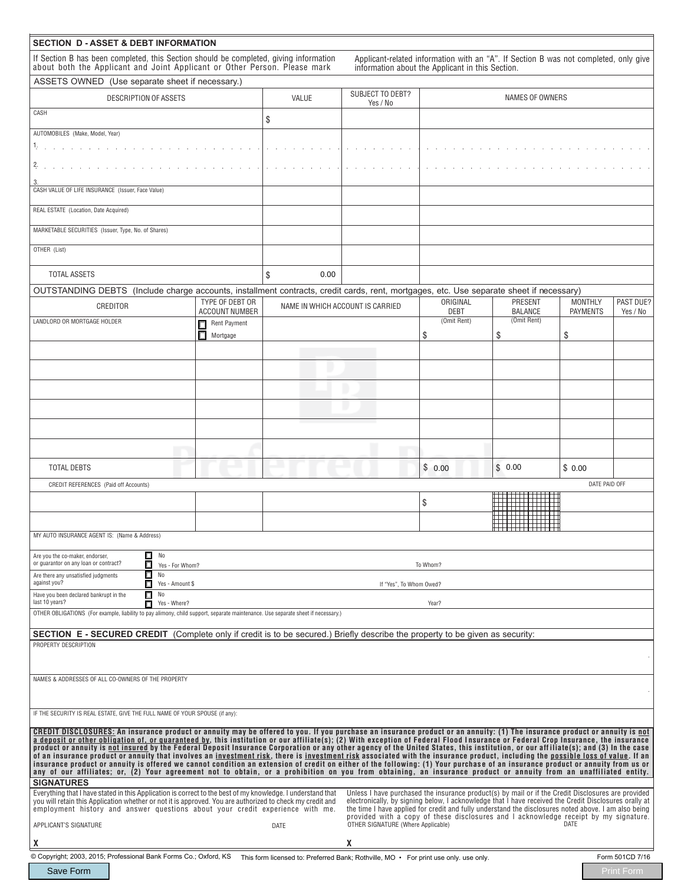| <b>SECTION D-ASSET &amp; DEBT INFORMATION</b>                                                                                                                                                                                                                                                                                                                           |                                          |       |                                     |                                                                                                                                                                                                             |                                  |                                   |                       |  |
|-------------------------------------------------------------------------------------------------------------------------------------------------------------------------------------------------------------------------------------------------------------------------------------------------------------------------------------------------------------------------|------------------------------------------|-------|-------------------------------------|-------------------------------------------------------------------------------------------------------------------------------------------------------------------------------------------------------------|----------------------------------|-----------------------------------|-----------------------|--|
| If Section B has been completed, this Section should be completed, giving information<br>about both the Applicant and Joint Applicant or Other Person. Please mark                                                                                                                                                                                                      |                                          |       |                                     | Applicant-related information with an "A". If Section B was not completed, only give<br>information about the Applicant in this Section.                                                                    |                                  |                                   |                       |  |
| ASSETS OWNED (Use separate sheet if necessary.)                                                                                                                                                                                                                                                                                                                         |                                          |       |                                     |                                                                                                                                                                                                             |                                  |                                   |                       |  |
| <b>DESCRIPTION OF ASSETS</b>                                                                                                                                                                                                                                                                                                                                            |                                          | VALUE | <b>SUBJECT TO DEBT?</b><br>Yes / No |                                                                                                                                                                                                             | NAMES OF OWNERS                  |                                   |                       |  |
| CASH                                                                                                                                                                                                                                                                                                                                                                    | \$                                       |       |                                     |                                                                                                                                                                                                             |                                  |                                   |                       |  |
| AUTOMOBILES (Make, Model, Year)                                                                                                                                                                                                                                                                                                                                         |                                          |       |                                     |                                                                                                                                                                                                             |                                  |                                   |                       |  |
|                                                                                                                                                                                                                                                                                                                                                                         |                                          |       |                                     |                                                                                                                                                                                                             |                                  |                                   |                       |  |
| 2.                                                                                                                                                                                                                                                                                                                                                                      |                                          |       |                                     |                                                                                                                                                                                                             |                                  |                                   |                       |  |
| CASH VALUE OF LIFE INSURANCE (Issuer, Face Value)                                                                                                                                                                                                                                                                                                                       |                                          |       |                                     |                                                                                                                                                                                                             |                                  |                                   |                       |  |
| REAL ESTATE (Location, Date Acquired)                                                                                                                                                                                                                                                                                                                                   |                                          |       |                                     |                                                                                                                                                                                                             |                                  |                                   |                       |  |
| MARKETABLE SECURITIES (Issuer, Type, No. of Shares)                                                                                                                                                                                                                                                                                                                     |                                          |       |                                     |                                                                                                                                                                                                             |                                  |                                   |                       |  |
| OTHER (List)                                                                                                                                                                                                                                                                                                                                                            |                                          |       |                                     |                                                                                                                                                                                                             |                                  |                                   |                       |  |
| <b>TOTAL ASSETS</b>                                                                                                                                                                                                                                                                                                                                                     |                                          | \$    | 0.00                                |                                                                                                                                                                                                             |                                  |                                   |                       |  |
| OUTSTANDING DEBTS (Include charge accounts, installment contracts, credit cards, rent, mortgages, etc. Use separate sheet if necessary)                                                                                                                                                                                                                                 |                                          |       |                                     |                                                                                                                                                                                                             |                                  |                                   |                       |  |
| CREDITOR                                                                                                                                                                                                                                                                                                                                                                | TYPE OF DEBT OR<br><b>ACCOUNT NUMBER</b> |       | NAME IN WHICH ACCOUNT IS CARRIED    | ORIGINAL<br><b>DEBT</b>                                                                                                                                                                                     | <b>PRESENT</b><br><b>BALANCE</b> | <b>MONTHLY</b><br><b>PAYMENTS</b> | PAST DUE?<br>Yes / No |  |
| LANDLORD OR MORTGAGE HOLDER                                                                                                                                                                                                                                                                                                                                             | Rent Payment<br>□                        |       |                                     | (Omit Rent)                                                                                                                                                                                                 | (Omit Rent)                      |                                   |                       |  |
|                                                                                                                                                                                                                                                                                                                                                                         | п<br>Mortgage                            |       |                                     | \$                                                                                                                                                                                                          | \$                               | \$                                |                       |  |
|                                                                                                                                                                                                                                                                                                                                                                         |                                          |       |                                     |                                                                                                                                                                                                             |                                  |                                   |                       |  |
|                                                                                                                                                                                                                                                                                                                                                                         |                                          |       |                                     |                                                                                                                                                                                                             |                                  |                                   |                       |  |
|                                                                                                                                                                                                                                                                                                                                                                         |                                          |       |                                     |                                                                                                                                                                                                             |                                  |                                   |                       |  |
|                                                                                                                                                                                                                                                                                                                                                                         |                                          |       |                                     |                                                                                                                                                                                                             |                                  |                                   |                       |  |
|                                                                                                                                                                                                                                                                                                                                                                         |                                          |       |                                     |                                                                                                                                                                                                             |                                  |                                   |                       |  |
|                                                                                                                                                                                                                                                                                                                                                                         |                                          |       |                                     |                                                                                                                                                                                                             |                                  |                                   |                       |  |
|                                                                                                                                                                                                                                                                                                                                                                         |                                          |       |                                     |                                                                                                                                                                                                             |                                  |                                   |                       |  |
|                                                                                                                                                                                                                                                                                                                                                                         |                                          |       |                                     |                                                                                                                                                                                                             |                                  |                                   |                       |  |
| <b>TOTAL DEBTS</b>                                                                                                                                                                                                                                                                                                                                                      |                                          |       |                                     | \$0.00                                                                                                                                                                                                      | \$0.00                           | \$0.00                            |                       |  |
| CREDIT REFERENCES (Paid off Accounts)                                                                                                                                                                                                                                                                                                                                   |                                          |       |                                     |                                                                                                                                                                                                             |                                  | DATE PAID OFF                     |                       |  |
|                                                                                                                                                                                                                                                                                                                                                                         |                                          |       |                                     | \$                                                                                                                                                                                                          |                                  |                                   |                       |  |
|                                                                                                                                                                                                                                                                                                                                                                         |                                          |       |                                     |                                                                                                                                                                                                             |                                  |                                   |                       |  |
|                                                                                                                                                                                                                                                                                                                                                                         |                                          |       |                                     |                                                                                                                                                                                                             |                                  |                                   |                       |  |
| MY AUTO INSURANCE AGENT IS: (Name & Address)                                                                                                                                                                                                                                                                                                                            |                                          |       |                                     |                                                                                                                                                                                                             |                                  |                                   |                       |  |
| $\Box$ No<br>Are you the co-maker, endorser,                                                                                                                                                                                                                                                                                                                            |                                          |       |                                     |                                                                                                                                                                                                             |                                  |                                   |                       |  |
| or guarantor on any loan or contract?<br>п<br>Yes - For Whom?<br>П<br>No<br>Are there any unsatisfied judgments                                                                                                                                                                                                                                                         |                                          |       |                                     | To Whom?                                                                                                                                                                                                    |                                  |                                   |                       |  |
| against you?<br>П<br>Yes - Amount \$                                                                                                                                                                                                                                                                                                                                    |                                          |       | If "Yes", To Whom Owed?             |                                                                                                                                                                                                             |                                  |                                   |                       |  |
| $\Box$ No<br>Have you been declared bankrupt in the<br>last 10 years?<br>П<br>Yes - Where?                                                                                                                                                                                                                                                                              |                                          |       |                                     | Year?                                                                                                                                                                                                       |                                  |                                   |                       |  |
| OTHER OBLIGATIONS (For example, liability to pay alimony, child support, separate maintenance. Use separate sheet if necessary.)                                                                                                                                                                                                                                        |                                          |       |                                     |                                                                                                                                                                                                             |                                  |                                   |                       |  |
|                                                                                                                                                                                                                                                                                                                                                                         |                                          |       |                                     |                                                                                                                                                                                                             |                                  |                                   |                       |  |
| <b>SECTION E - SECURED CREDIT</b> (Complete only if credit is to be secured.) Briefly describe the property to be given as security:<br>PROPERTY DESCRIPTION                                                                                                                                                                                                            |                                          |       |                                     |                                                                                                                                                                                                             |                                  |                                   |                       |  |
|                                                                                                                                                                                                                                                                                                                                                                         |                                          |       |                                     |                                                                                                                                                                                                             |                                  |                                   |                       |  |
|                                                                                                                                                                                                                                                                                                                                                                         |                                          |       |                                     |                                                                                                                                                                                                             |                                  |                                   |                       |  |
| NAMES & ADDRESSES OF ALL CO-OWNERS OF THE PROPERTY                                                                                                                                                                                                                                                                                                                      |                                          |       |                                     |                                                                                                                                                                                                             |                                  |                                   |                       |  |
|                                                                                                                                                                                                                                                                                                                                                                         |                                          |       |                                     |                                                                                                                                                                                                             |                                  |                                   |                       |  |
| IF THE SECURITY IS REAL ESTATE, GIVE THE FULL NAME OF YOUR SPOUSE (if any):                                                                                                                                                                                                                                                                                             |                                          |       |                                     |                                                                                                                                                                                                             |                                  |                                   |                       |  |
| CREDIT DISCLOSURES: An insurance product or annuity may be offered to you. If you purchase an insurance product or an annuity: (1) The insurance product or annuity is not                                                                                                                                                                                              |                                          |       |                                     |                                                                                                                                                                                                             |                                  |                                   |                       |  |
| a deposit or other obligation of, or guaranteed by, this institution or our affiliate(s); (2) With exception of Federal Flood Insurance or Federal Crop Insurance, the insurance<br>product or annuity is not insured by the Federal Deposit Insurance Corporation or any other agency of the United States, this institution, or our affiliate(s); and (3) In the case |                                          |       |                                     |                                                                                                                                                                                                             |                                  |                                   |                       |  |
| of an insurance product or annuity that involves an investment risk, there is investment risk associated with the insurance product, including the possible loss of value. If an<br>insurance product or annuity is offered we cannot condition an extension of credit on either of the following: (1) Your purchase of an insurance product or annuity from us or      |                                          |       |                                     |                                                                                                                                                                                                             |                                  |                                   |                       |  |
| any of our affiliates; or, (2) Your agreement not to obtain, or a prohibition on you from obtaining, an insurance product or annuity from an unaffiliated entity.                                                                                                                                                                                                       |                                          |       |                                     |                                                                                                                                                                                                             |                                  |                                   |                       |  |
| <b>SIGNATURES</b>                                                                                                                                                                                                                                                                                                                                                       |                                          |       |                                     |                                                                                                                                                                                                             |                                  |                                   |                       |  |
| Everything that I have stated in this Application is correct to the best of my knowledge. I understand that<br>you will retain this Application whether or not it is approved. You are authorized to check my credit and                                                                                                                                                |                                          |       |                                     | Unless I have purchased the insurance product(s) by mail or if the Credit Disclosures are provided<br>electronically, by signing below, I acknowledge that I have received the Credit Disclosures orally at |                                  |                                   |                       |  |
| employment history and answer questions about your credit experience with me.                                                                                                                                                                                                                                                                                           |                                          |       | OTHER SIGNATURE (Where Applicable)  | the time I have applied for credit and fully understand the disclosures noted above. I am also being<br>provided with a copy of these disclosures and I acknowledge receipt by my signature.                |                                  | DATE                              |                       |  |
| APPLICANT'S SIGNATURE<br>X                                                                                                                                                                                                                                                                                                                                              |                                          | DATE  | X                                   |                                                                                                                                                                                                             |                                  |                                   |                       |  |
| © Copyright; 2003, 2015; Professional Bank Forms Co.; Oxford, KS This form licensed to: Preferred Bank; Rothville, MO · For print use only. use only.                                                                                                                                                                                                                   |                                          |       |                                     |                                                                                                                                                                                                             |                                  |                                   | Form 501CD 7/16       |  |
| Save Form                                                                                                                                                                                                                                                                                                                                                               |                                          |       |                                     |                                                                                                                                                                                                             |                                  |                                   | Print Form            |  |
|                                                                                                                                                                                                                                                                                                                                                                         |                                          |       |                                     |                                                                                                                                                                                                             |                                  |                                   |                       |  |